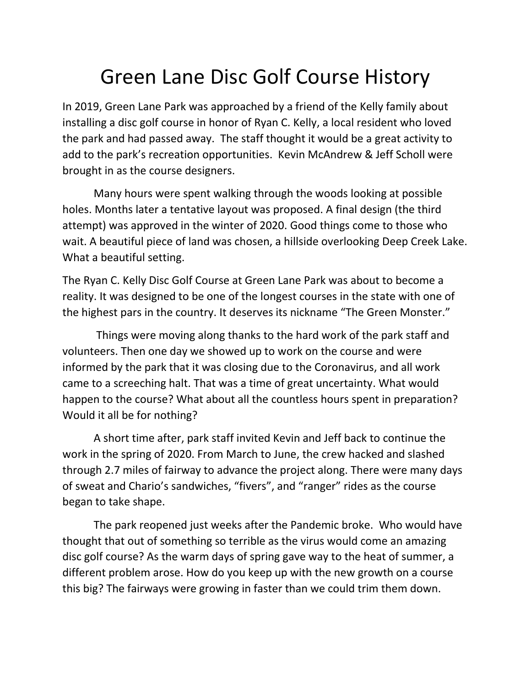## Green Lane Disc Golf Course History

In 2019, Green Lane Park was approached by a friend of the Kelly family about installing a disc golf course in honor of Ryan C. Kelly, a local resident who loved the park and had passed away. The staff thought it would be a great activity to add to the park's recreation opportunities. Kevin McAndrew & Jeff Scholl were brought in as the course designers.

Many hours were spent walking through the woods looking at possible holes. Months later a tentative layout was proposed. A final design (the third attempt) was approved in the winter of 2020. Good things come to those who wait. A beautiful piece of land was chosen, a hillside overlooking Deep Creek Lake. What a beautiful setting.

The Ryan C. Kelly Disc Golf Course at Green Lane Park was about to become a reality. It was designed to be one of the longest courses in the state with one of the highest pars in the country. It deserves its nickname "The Green Monster."

Things were moving along thanks to the hard work of the park staff and volunteers. Then one day we showed up to work on the course and were informed by the park that it was closing due to the Coronavirus, and all work came to a screeching halt. That was a time of great uncertainty. What would happen to the course? What about all the countless hours spent in preparation? Would it all be for nothing?

A short time after, park staff invited Kevin and Jeff back to continue the work in the spring of 2020. From March to June, the crew hacked and slashed through 2.7 miles of fairway to advance the project along. There were many days of sweat and Chario's sandwiches, "fivers", and "ranger" rides as the course began to take shape.

The park reopened just weeks after the Pandemic broke. Who would have thought that out of something so terrible as the virus would come an amazing disc golf course? As the warm days of spring gave way to the heat of summer, a different problem arose. How do you keep up with the new growth on a course this big? The fairways were growing in faster than we could trim them down.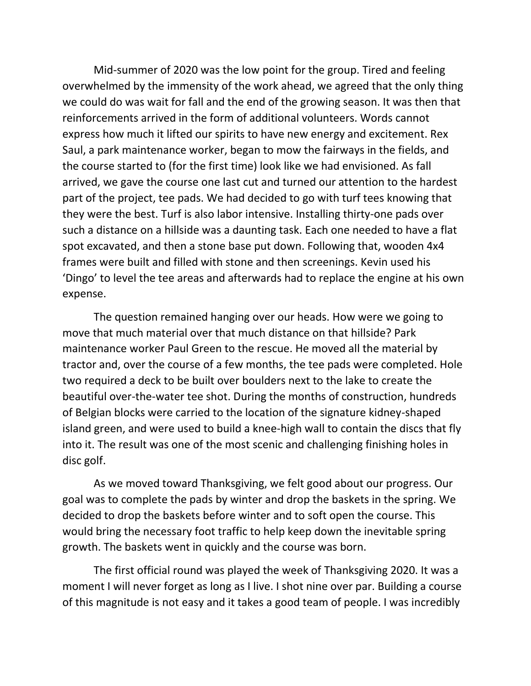Mid-summer of 2020 was the low point for the group. Tired and feeling overwhelmed by the immensity of the work ahead, we agreed that the only thing we could do was wait for fall and the end of the growing season. It was then that reinforcements arrived in the form of additional volunteers. Words cannot express how much it lifted our spirits to have new energy and excitement. Rex Saul, a park maintenance worker, began to mow the fairways in the fields, and the course started to (for the first time) look like we had envisioned. As fall arrived, we gave the course one last cut and turned our attention to the hardest part of the project, tee pads. We had decided to go with turf tees knowing that they were the best. Turf is also labor intensive. Installing thirty-one pads over such a distance on a hillside was a daunting task. Each one needed to have a flat spot excavated, and then a stone base put down. Following that, wooden 4x4 frames were built and filled with stone and then screenings. Kevin used his 'Dingo' to level the tee areas and afterwards had to replace the engine at his own expense.

The question remained hanging over our heads. How were we going to move that much material over that much distance on that hillside? Park maintenance worker Paul Green to the rescue. He moved all the material by tractor and, over the course of a few months, the tee pads were completed. Hole two required a deck to be built over boulders next to the lake to create the beautiful over-the-water tee shot. During the months of construction, hundreds of Belgian blocks were carried to the location of the signature kidney-shaped island green, and were used to build a knee-high wall to contain the discs that fly into it. The result was one of the most scenic and challenging finishing holes in disc golf.

As we moved toward Thanksgiving, we felt good about our progress. Our goal was to complete the pads by winter and drop the baskets in the spring. We decided to drop the baskets before winter and to soft open the course. This would bring the necessary foot traffic to help keep down the inevitable spring growth. The baskets went in quickly and the course was born.

The first official round was played the week of Thanksgiving 2020. It was a moment I will never forget as long as I live. I shot nine over par. Building a course of this magnitude is not easy and it takes a good team of people. I was incredibly